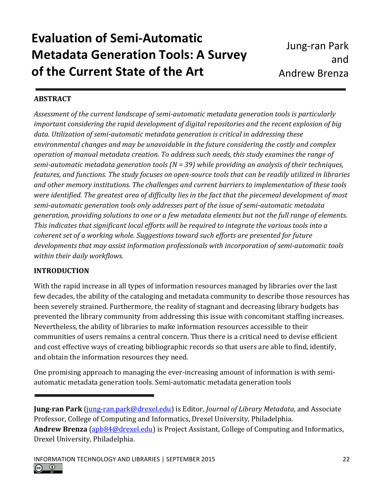# **Evaluation of Semi-Automatic Metadata Generation Tools: A Survey of the Current State of the Art**

## **ABSTRACT**

Assessment of the current landscape of semi-automatic metadata generation tools is particularly *important considering the rapid development of digital repositories and the recent explosion of big* data. Utilization of semi-automatic metadata generation is critical in addressing these environmental changes and may be unavoidable in the future considering the costly and complex operation of manual metadata creation. To address such needs, this study examines the range of *semi-automatic metadata generation tools* (N = 39) while providing an analysis of their techniques, *features, and functions. The study focuses on open-source tools that can be readily utilized in libraries* and other memory institutions. The challenges and current barriers to implementation of these tools *were identified. The greatest area of difficulty lies in the fact that the piecemeal development of most* semi-automatic generation tools only addresses part of the issue of semi-automatic metadata *generation, providing solutions to one or a few metadata elements but not the full range of elements.* This indicates that significant local efforts will be required to integrate the various tools into a *coherent set of a working whole. Suggestions toward such efforts are presented for future* developments that may assist information professionals with incorporation of semi-automatic tools *within their daily workflows.*

## **INTRODUCTION**

With the rapid increase in all types of information resources managed by libraries over the last few decades, the ability of the cataloging and metadata community to describe those resources has been severely strained. Furthermore, the reality of stagnant and decreasing library budgets has prevented the library community from addressing this issue with concomitant staffing increases. Nevertheless, the ability of libraries to make information resources accessible to their communities of users remains a central concern. Thus there is a critical need to devise efficient and cost effective ways of creating bibliographic records so that users are able to find, identify, and obtain the information resources they need.

One promising approach to managing the ever-increasing amount of information is with semiautomatic metadata generation tools. Semi-automatic metadata generation tools

**Jung-ran Park** (jung-ran.park@drexel.edu) is Editor, *Journal of Library Metadata*, and Associate Professor, College of Computing and Informatics, Drexel University, Philadelphia. Andrew Brenza (apb84@drexel.edu) is Project Assistant, College of Computing and Informatics, Drexel University, Philadelphia.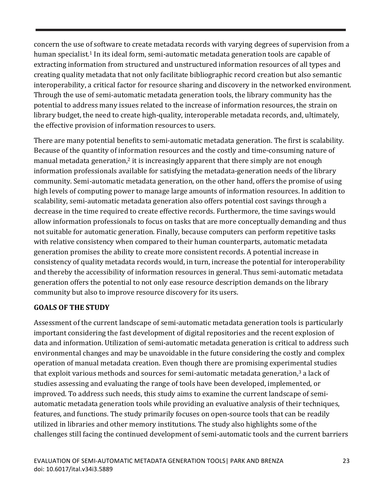concern the use of software to create metadata records with varying degrees of supervision from a human specialist.<sup>1</sup> In its ideal form, semi-automatic metadata generation tools are capable of extracting information from structured and unstructured information resources of all types and creating quality metadata that not only facilitate bibliographic record creation but also semantic interoperability, a critical factor for resource sharing and discovery in the networked environment. Through the use of semi-automatic metadata generation tools, the library community has the potential to address many issues related to the increase of information resources, the strain on library budget, the need to create high-quality, interoperable metadata records, and, ultimately, the effective provision of information resources to users.

There are many potential benefits to semi-automatic metadata generation. The first is scalability. Because of the quantity of information resources and the costly and time-consuming nature of manual metadata generation,<sup>2</sup> it is increasingly apparent that there simply are not enough information professionals available for satisfying the metadata-generation needs of the library community. Semi-automatic metadata generation, on the other hand, offers the promise of using high levels of computing power to manage large amounts of information resources. In addition to scalability, semi-automatic metadata generation also offers potential cost savings through a decrease in the time required to create effective records. Furthermore, the time savings would allow information professionals to focus on tasks that are more conceptually demanding and thus not suitable for automatic generation. Finally, because computers can perform repetitive tasks with relative consistency when compared to their human counterparts, automatic metadata generation promises the ability to create more consistent records. A potential increase in consistency of quality metadata records would, in turn, increase the potential for interoperability and thereby the accessibility of information resources in general. Thus semi-automatic metadata generation offers the potential to not only ease resource description demands on the library community but also to improve resource discovery for its users.

#### **GOALS OF THE STUDY**

Assessment of the current landscape of semi-automatic metadata generation tools is particularly important considering the fast development of digital repositories and the recent explosion of data and information. Utilization of semi-automatic metadata generation is critical to address such environmental changes and may be unavoidable in the future considering the costly and complex operation of manual metadata creation. Even though there are promising experimental studies that exploit various methods and sources for semi-automatic metadata generation,<sup>3</sup> a lack of studies assessing and evaluating the range of tools have been developed, implemented, or improved. To address such needs, this study aims to examine the current landscape of semiautomatic metadata generation tools while providing an evaluative analysis of their techniques, features, and functions. The study primarily focuses on open-source tools that can be readily utilized in libraries and other memory institutions. The study also highlights some of the challenges still facing the continued development of semi-automatic tools and the current barriers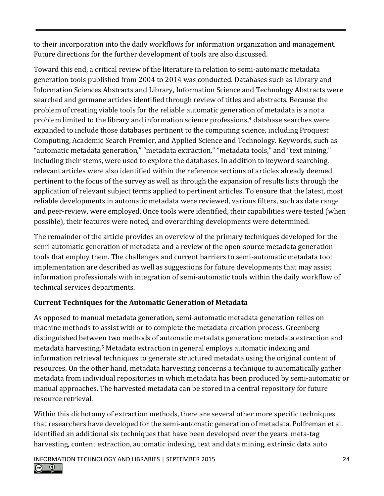to their incorporation into the daily workflows for information organization and management. Future directions for the further development of tools are also discussed.

Toward this end, a critical review of the literature in relation to semi-automatic metadata generation tools published from 2004 to 2014 was conducted. Databases such as Library and Information Sciences Abstracts and Library, Information Science and Technology Abstracts were searched and germane articles identified through review of titles and abstracts. Because the problem of creating viable tools for the reliable automatic generation of metadata is a not a problem limited to the library and information science professions,<sup>4</sup> database searches were expanded to include those databases pertinent to the computing science, including Proquest Computing, Academic Search Premier, and Applied Science and Technology. Keywords, such as "automatic metadata generation," "metadata extraction," "metadata tools," and "text mining," including their stems, were used to explore the databases. In addition to keyword searching, relevant articles were also identified within the reference sections of articles already deemed pertinent to the focus of the survey as well as through the expansion of results lists through the application of relevant subject terms applied to pertinent articles. To ensure that the latest, most reliable developments in automatic metadata were reviewed, various filters, such as date range and peer-review, were employed. Once tools were identified, their capabilities were tested (when possible), their features were noted, and overarching developments were determined.

The remainder of the article provides an overview of the primary techniques developed for the semi-automatic generation of metadata and a review of the open-source metadata generation tools that employ them. The challenges and current barriers to semi-automatic metadata tool implementation are described as well as suggestions for future developments that may assist information professionals with integration of semi-automatic tools within the daily workflow of technical services departments.

## **Current Techniques for the Automatic Generation of Metadata**

As opposed to manual metadata generation, semi-automatic metadata generation relies on machine methods to assist with or to complete the metadata-creation process. Greenberg distinguished between two methods of automatic metadata generation: metadata extraction and metadata harvesting.<sup>5</sup> Metadata extraction in general employs automatic indexing and information retrieval techniques to generate structured metadata using the original content of resources. On the other hand, metadata harvesting concerns a technique to automatically gather metadata from individual repositories in which metadata has been produced by semi-automatic or manual approaches. The harvested metadata can be stored in a central repository for future resource retrieval.

Within this dichotomy of extraction methods, there are several other more specific techniques that researchers have developed for the semi-automatic generation of metadata. Polfreman et al. identified an additional six techniques that have been developed over the years: meta-tag harvesting, content extraction, automatic indexing, text and data mining, extrinsic data auto

INFORMATION TECHNOLOGY AND LIBRARIES | SEPTEMBER 2015 24

 $\circ$   $\circ$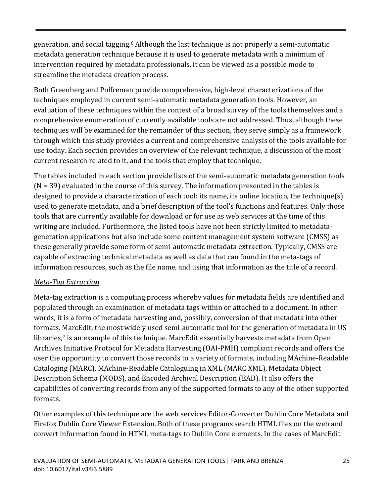generation, and social tagging.<sup>6</sup> Although the last technique is not properly a semi-automatic metadata generation technique because it is used to generate metadata with a minimum of intervention required by metadata professionals, it can be viewed as a possible mode to streamline the metadata creation process.

Both Greenberg and Polfreman provide comprehensive, high-level characterizations of the techniques employed in current semi-automatic metadata generation tools. However, an evaluation of these techniques within the context of a broad survey of the tools themselves and a comprehensive enumeration of currently available tools are not addressed. Thus, although these techniques will be examined for the remainder of this section, they serve simply as a framework through which this study provides a current and comprehensive analysis of the tools available for use today. Each section provides an overview of the relevant technique, a discussion of the most current research related to it, and the tools that employ that technique.

The tables included in each section provide lists of the semi-automatic metadata generation tools  $(N = 39)$  evaluated in the course of this survey. The information presented in the tables is designed to provide a characterization of each tool: its name, its online location, the technique(s) used to generate metadata, and a brief description of the tool's functions and features. Only those tools that are currently available for download or for use as web services at the time of this writing are included. Furthermore, the listed tools have not been strictly limited to metadatageneration applications but also include some content management system software (CMSS) as these generally provide some form of semi-automatic metadata extraction. Typically, CMSS are capable of extracting technical metadata as well as data that can found in the meta-tags of information resources, such as the file name, and using that information as the title of a record.

#### *Meta-Tag Extraction*

Meta-tag extraction is a computing process whereby values for metadata fields are identified and populated through an examination of metadata tags within or attached to a document. In other words, it is a form of metadata harvesting and, possibly, conversion of that metadata into other formats. MarcEdit, the most widely used semi-automatic tool for the generation of metadata in US libraries,<sup>7</sup> is an example of this technique. MarcEdit essentially harvests metadata from Open Archives Initiative Protocol for Metadata Harvesting (OAI-PMH) compliant records and offers the user the opportunity to convert those records to a variety of formats, including MAchine-Readable Cataloging (MARC), MAchine-Readable Cataloguing in XML (MARC XML), Metadata Object Description Schema (MODS), and Encoded Archival Description (EAD). It also offers the capabilities of converting records from any of the supported formats to any of the other supported formats.

Other examples of this technique are the web services Editor-Converter Dublin Core Metadata and Firefox Dublin Core Viewer Extension. Both of these programs search HTML files on the web and convert information found in HTML meta-tags to Dublin Core elements. In the cases of MarcEdit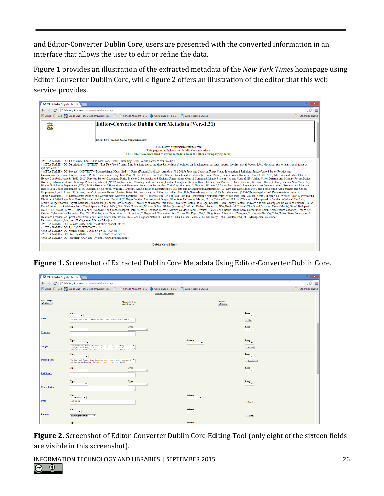and Editor-Converter Dublin Core, users are presented with the converted information in an interface that allows the user to edit or refine the data.

Figure 1 provides an illustration of the extracted metadata of the *New York Times* homepage using Editor-Converter Dublin Core, while figure 2 offers an illustration of the editor that this web service provides.

| METADATA Project. Chizh x                                                                                                                                                                                                                                                                                                                                                                                                                                                                                                                                                                                                                                                                                                                                                                                                                                                                                                                                                                                                                                                                                                                                                                                                                                                                                                                                                                                                                                                                                                                                                                                                                                                                                                                                                                                                                                                                                                                                                                                                                                                                                                                                                                                                                                                                                                                                                                                                                                                                                                                                                                                                                                                                                                                                                                                                                                                                                                                                                                                                                                                                                                                                                                                                                                                                                                                                                                                                                                                                                                                                                                                                                                                                                                                                                                                                                                                                                                                                                                                                                         |                                                                                        | - 0 |  |  |  |
|---------------------------------------------------------------------------------------------------------------------------------------------------------------------------------------------------------------------------------------------------------------------------------------------------------------------------------------------------------------------------------------------------------------------------------------------------------------------------------------------------------------------------------------------------------------------------------------------------------------------------------------------------------------------------------------------------------------------------------------------------------------------------------------------------------------------------------------------------------------------------------------------------------------------------------------------------------------------------------------------------------------------------------------------------------------------------------------------------------------------------------------------------------------------------------------------------------------------------------------------------------------------------------------------------------------------------------------------------------------------------------------------------------------------------------------------------------------------------------------------------------------------------------------------------------------------------------------------------------------------------------------------------------------------------------------------------------------------------------------------------------------------------------------------------------------------------------------------------------------------------------------------------------------------------------------------------------------------------------------------------------------------------------------------------------------------------------------------------------------------------------------------------------------------------------------------------------------------------------------------------------------------------------------------------------------------------------------------------------------------------------------------------------------------------------------------------------------------------------------------------------------------------------------------------------------------------------------------------------------------------------------------------------------------------------------------------------------------------------------------------------------------------------------------------------------------------------------------------------------------------------------------------------------------------------------------------------------------------------------------------------------------------------------------------------------------------------------------------------------------------------------------------------------------------------------------------------------------------------------------------------------------------------------------------------------------------------------------------------------------------------------------------------------------------------------------------------------------------------------------------------------------------------------------------------------------------------------------------------------------------------------------------------------------------------------------------------------------------------------------------------------------------------------------------------------------------------------------------------------------------------------------------------------------------------------------------------------------------------------------------------------------------------------------------|----------------------------------------------------------------------------------------|-----|--|--|--|
| C                                                                                                                                                                                                                                                                                                                                                                                                                                                                                                                                                                                                                                                                                                                                                                                                                                                                                                                                                                                                                                                                                                                                                                                                                                                                                                                                                                                                                                                                                                                                                                                                                                                                                                                                                                                                                                                                                                                                                                                                                                                                                                                                                                                                                                                                                                                                                                                                                                                                                                                                                                                                                                                                                                                                                                                                                                                                                                                                                                                                                                                                                                                                                                                                                                                                                                                                                                                                                                                                                                                                                                                                                                                                                                                                                                                                                                                                                                                                                                                                                                                 | library.kr.ua/cqi-bin/dceditunie.cqi<br>$Q, \frac{1}{2}$                               |     |  |  |  |
|                                                                                                                                                                                                                                                                                                                                                                                                                                                                                                                                                                                                                                                                                                                                                                                                                                                                                                                                                                                                                                                                                                                                                                                                                                                                                                                                                                                                                                                                                                                                                                                                                                                                                                                                                                                                                                                                                                                                                                                                                                                                                                                                                                                                                                                                                                                                                                                                                                                                                                                                                                                                                                                                                                                                                                                                                                                                                                                                                                                                                                                                                                                                                                                                                                                                                                                                                                                                                                                                                                                                                                                                                                                                                                                                                                                                                                                                                                                                                                                                                                                   | Other bookmarks                                                                        |     |  |  |  |
|                                                                                                                                                                                                                                                                                                                                                                                                                                                                                                                                                                                                                                                                                                                                                                                                                                                                                                                                                                                                                                                                                                                                                                                                                                                                                                                                                                                                                                                                                                                                                                                                                                                                                                                                                                                                                                                                                                                                                                                                                                                                                                                                                                                                                                                                                                                                                                                                                                                                                                                                                                                                                                                                                                                                                                                                                                                                                                                                                                                                                                                                                                                                                                                                                                                                                                                                                                                                                                                                                                                                                                                                                                                                                                                                                                                                                                                                                                                                                                                                                                                   | <b>Editor-Convertor Dublin Core Metadata (Ver.-1.31)</b>                               |     |  |  |  |
|                                                                                                                                                                                                                                                                                                                                                                                                                                                                                                                                                                                                                                                                                                                                                                                                                                                                                                                                                                                                                                                                                                                                                                                                                                                                                                                                                                                                                                                                                                                                                                                                                                                                                                                                                                                                                                                                                                                                                                                                                                                                                                                                                                                                                                                                                                                                                                                                                                                                                                                                                                                                                                                                                                                                                                                                                                                                                                                                                                                                                                                                                                                                                                                                                                                                                                                                                                                                                                                                                                                                                                                                                                                                                                                                                                                                                                                                                                                                                                                                                                                   | Dublin Core - Making it easier to find information                                     |     |  |  |  |
|                                                                                                                                                                                                                                                                                                                                                                                                                                                                                                                                                                                                                                                                                                                                                                                                                                                                                                                                                                                                                                                                                                                                                                                                                                                                                                                                                                                                                                                                                                                                                                                                                                                                                                                                                                                                                                                                                                                                                                                                                                                                                                                                                                                                                                                                                                                                                                                                                                                                                                                                                                                                                                                                                                                                                                                                                                                                                                                                                                                                                                                                                                                                                                                                                                                                                                                                                                                                                                                                                                                                                                                                                                                                                                                                                                                                                                                                                                                                                                                                                                                   | URL Tested: http://www.nvtimes.com<br>This page actually have not Dublin Core metadata |     |  |  |  |
| The Editor have been tried to extract metadata from the other accompanying data:<br><meta content="The New York Times - Breaking News, World News &amp; Multimedia" name="DC.Title"/><br><meta content="The New York Times: Find breaking news, multimedia, reviews &amp; opinion on Washington, business, sports, movies, travel, books, jobs, education, real estate, cars &amp; more at&lt;br&gt;nytimes.com." name="DC.Description"/><br><meta content="Boumeddiene, Hayat (1988-),Paris (France),Coulibaly, Amedy (1982-2015),Jews and Judaism,United States International Relations,France,United States Politics and&lt;br&gt;Government, Terrorism, Demonstrations, Protests and Riots, Kerry, John, Paris (France), Terrorism, United States International Relations, Terrorism, Paris (France), France, Kouachi, Cherif (1982-2015), Muslims and Islam, C&lt;br&gt;Hebdo,Coulibaly, Amedy (1982-2015),Parc des Buttes Chaumont (Paris, France),Cyberattacks and Hackers,United States Central Command,Islamic State in Iraq and Syria (ISIS),United States Defense and Military Forces.Police&lt;br&gt;Brutality, Misconduct and Shootings.Police Department (NYC),Asphyxiation, Choking, and Suffocation,Civilian Complaint Review Board,Garner, Eric,Pantaleo, Daniel,Bratton, William J.Baez, Anthony Ramon,New York City,de&lt;br&gt;Blasio, Bill,Police Department (NYC),Police Brutality, Misconduct and Shootings,Attacks on Police,New York City,Sharpton, Al,Bratton, William J,Mayors,Patrolmen's Benevolent Assn,Demonstrations, Protests and Riots,de&lt;br&gt;Blasio, Bill,Police Department (NYC),Garner, Eric,Bratton, William J,Duncan, Arne,Education Department (US),Tests and Examinations.Education (K-12),Law and Legislation,No Child Left Behind Act,Teachers and School&lt;br&gt;Employees,Lynch, Loretta E,Obama, Barack,Attorneys General,United States Attorneys,Race and Ethnicity,Holder, Eric H Jr,Greensboro (NC),Civil Rights Movement (1954-68),Segregation and Desegregation,Louima,&lt;br&gt;Abner.Governors (US),United States Politics and Government.Midterm Elections (2014).Conservatism (US Politics),Law and Legislation.Republican Party,Brownback, Sam,Walker, Scott K.Income Tax,Walker, Scott K.Presidential&lt;br&gt;Election of 2016.Republican Party.Primaries and Caucuses.Football (College).Football.University of Oregon.Ohio State University.Mever. Urban.College Football Playoff National Championship.Football (College).Helfrich.&lt;br&gt;Mark.College Football Playoff National Championship.Coaches and Managers.University of Oregon.Ohio State University.Football (College).Spencer, Evan.College Football Playoff National Championship.College Football Hall of&lt;br&gt;Fame.University of Alabama.Sugar Bowl.Spencer, Tim (1960-).Ohio State University.Movies.Golden Globes (Awards).Linklater. Richard.Anderson, Wes.Boyhood (Movie).The Grand Budapest Hotel (Movie).Grand Budapest&lt;br&gt;Hotel, The (Movie),Movies,Golden Globes (Awards),The Grand Budapest Hotel (Movie),Boyhood (Movie),Movies,Golden Globes (Awards),Television,Charlie Hebdo,Sony Corporation,North Korea,France,Clooney, George,Sex&lt;br&gt;Crimes, Cyberwarfare, Terrorism, Fey, Tina, Poehler, Amy, Fraternities and Sororities, Colleges and Universities, Sex Crimes, Phi Kappa Psi, Rolling Stone, University of Virginia, Charlottesville (Va), Cuba, United States&lt;br&gt;Relations, Freedom of Speech and Expression, United States International Relations, Haqqani Network, Lashkar-e-Taiba, Taliban, Tehrik-e-Taliban, Kerry, John, Pakistan, iPad, OTG Management, Customer&lt;br&gt;Relations, Airports, Marijuana, E-Cigarettes, Medical Marijuana" name="DC.Subject"/><br><meta content="text/html: charset=utf-8" name="DC.Format"/><br><meta content="Text" name="DC.Type"/><br><meta content="277 Kbytes" name="DC.Format.extent"/><br><meta content="2015-01-12" name="DC.Date.DataGathered"/><br><meta content="http://www.nytimes.com" name="DC.Identifier"/> |                                                                                        |     |  |  |  |
|                                                                                                                                                                                                                                                                                                                                                                                                                                                                                                                                                                                                                                                                                                                                                                                                                                                                                                                                                                                                                                                                                                                                                                                                                                                                                                                                                                                                                                                                                                                                                                                                                                                                                                                                                                                                                                                                                                                                                                                                                                                                                                                                                                                                                                                                                                                                                                                                                                                                                                                                                                                                                                                                                                                                                                                                                                                                                                                                                                                                                                                                                                                                                                                                                                                                                                                                                                                                                                                                                                                                                                                                                                                                                                                                                                                                                                                                                                                                                                                                                                                   | <b>Dublin Core Editor</b>                                                              |     |  |  |  |

Figure 1. Screenshot of Extracted Dublin Core Metadata Using Editor-Converter Dublin Core.

|                                   | METADATA Project. Chizi x                                                                                                                                                                                                                                          |                                   |                                                   | $ \theta$              |
|-----------------------------------|--------------------------------------------------------------------------------------------------------------------------------------------------------------------------------------------------------------------------------------------------------------------|-----------------------------------|---------------------------------------------------|------------------------|
|                                   | ← → C   bibrary.kr.ua/cgi-bin/dceditunie.cgi                                                                                                                                                                                                                       |                                   |                                                   | $Q \leq 2$<br>$\equiv$ |
|                                   | Apps Dell S Drexel One <a> C Dell S Drexel One <a> C Dell S Drexel One <a> C Dell S Drexel One <a> C Dell S Drexel One <a> C Dell S Drexel One <a> C Dell S Drexel One <a> C Dell S Drexel One <a> C Dell S Drexel One <a> C D</a></a></a></a></a></a></a></a></a> |                                   |                                                   | Other bookmarks        |
|                                   | <b>Dublin Core Editor</b>                                                                                                                                                                                                                                          |                                   |                                                   |                        |
| <b>Make Changes:</b><br>DC-Change | Fill down the fields<br>with this mark .                                                                                                                                                                                                                           | Convert:<br>UNIMARC               |                                                   |                        |
| Title                             | Type<br>$\overline{\mathbf{v}}$<br>The New York Times - Breaking News, World News & Multimedia                                                                                                                                                                     |                                   | Lang<br>▼<br>$+$ Title                            |                        |
| Creator                           | Type<br>Type<br>$\overline{\mathbf{r}}$                                                                                                                                                                                                                            |                                   | $\frac{\text{Lang}}{\blacktriangledown}$          |                        |
| <b>Subject</b>                    | Type<br>$\overline{\mathbf{v}}$<br>(Eric, Pantaleo, Daniel, Bratton, William J, Baez, Anthony<br>٠<br>Ramon, New York City, de Blasio, Bill, Police Department<br>A                                                                                                | Scheme<br>$\overline{\mathbf{v}}$ | Lang<br>$\overline{\phantom{a}}$<br>$+$ Subject   |                        |
| <b>Description</b>                | Type<br>$\overline{\phantom{a}}$<br>The New York Times: Find breaking news, multimedia, reviews &<br>opinion on Washington, business, sports, movies, travel,                                                                                                      |                                   | Lang<br>$\overline{\phantom{a}}$<br>+ Description |                        |
| <b>Publisher</b>                  | Type<br>Type<br>$\overline{\mathbf{v}}$                                                                                                                                                                                                                            |                                   | Lang<br>$\overline{\phantom{a}}$                  |                        |
| Contributor                       | Type<br>Type<br>$\overline{\mathbf{v}}$                                                                                                                                                                                                                            |                                   | $\frac{Lang}{l}$                                  |                        |
| <b>Date</b>                       | Type<br>DataGathered v<br>2015-01-12                                                                                                                                                                                                                               | Scheme<br>▼                       | $+$ Date                                          |                        |
| Format                            | Type<br>$\overline{\mathbf{v}}$<br>texthtml: charset=utf-8<br>۷.                                                                                                                                                                                                   | Scheme<br>$\pmb{\mathrm{v}}$      | $+$ Format                                        |                        |
|                                   | Type                                                                                                                                                                                                                                                               | Scheme                            |                                                   |                        |

Figure 2. Screenshot of Editor-Converter Dublin Core Editing Tool (only eight of the sixteen fields are visible in this screenshot).

INFORMATION TECHNOLOGY AND LIBRARIES | SEPTEMBER 2015 26

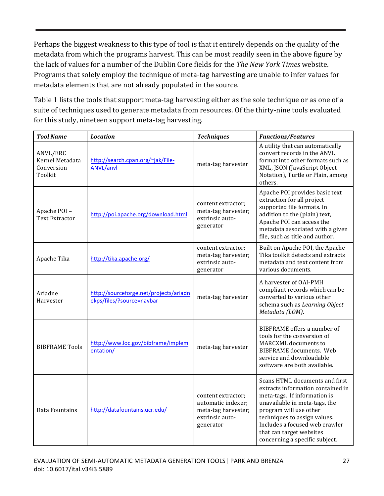Perhaps the biggest weakness to this type of tool is that it entirely depends on the quality of the metadata from which the programs harvest. This can be most readily seen in the above figure by the lack of values for a number of the Dublin Core fields for the *The New York Times* website. Programs that solely employ the technique of meta-tag harvesting are unable to infer values for metadata elements that are not already populated in the source.

Table 1 lists the tools that support meta-tag harvesting either as the sole technique or as one of a suite of techniques used to generate metadata from resources. Of the thirty-nine tools evaluated for this study, nineteen support meta-tag harvesting.

| <b>Tool Name</b>                                     | <b>Location</b>                                                     | <b>Techniques</b>                                                                               | <b>Functions/Features</b>                                                                                                                                                                                                                                                                      |
|------------------------------------------------------|---------------------------------------------------------------------|-------------------------------------------------------------------------------------------------|------------------------------------------------------------------------------------------------------------------------------------------------------------------------------------------------------------------------------------------------------------------------------------------------|
| ANVL/ERC<br>Kernel Metadata<br>Conversion<br>Toolkit | http://search.cpan.org/~jak/File-<br><b>ANVL/anvl</b>               | meta-tag harvester                                                                              | A utility that can automatically<br>convert records in the ANVL<br>format into other formats such as<br>XML, JSON (JavaScript Object<br>Notation), Turtle or Plain, among<br>others.                                                                                                           |
| Apache POI-<br><b>Text Extractor</b>                 | http://poi.apache.org/download.html                                 | content extractor;<br>meta-tag harvester;<br>extrinsic auto-<br>generator                       | Apache POI provides basic text<br>extraction for all project<br>supported file formats. In<br>addition to the (plain) text,<br>Apache POI can access the<br>metadata associated with a given<br>file, such as title and author.                                                                |
| Apache Tika                                          | http://tika.apache.org/                                             | content extractor;<br>meta-tag harvester;<br>extrinsic auto-<br>generator                       | Built on Apache POI, the Apache<br>Tika toolkit detects and extracts<br>metadata and text content from<br>various documents.                                                                                                                                                                   |
| Ariadne<br>Harvester                                 | http://sourceforge.net/projects/ariadn<br>ekps/files/?source=navbar | meta-tag harvester                                                                              | A harvester of OAI-PMH<br>compliant records which can be<br>converted to various other<br>schema such as Learning Object<br>Metadata (LOM).                                                                                                                                                    |
| <b>BIBFRAME Tools</b>                                | http://www.loc.gov/bibframe/implem<br>entation/                     | meta-tag harvester                                                                              | BIBFRAME offers a number of<br>tools for the conversion of<br>MARCXML documents to<br><b>BIBFRAME</b> documents. Web<br>service and downloadable<br>software are both available.                                                                                                               |
| Data Fountains                                       | http://datafountains.ucr.edu/                                       | content extractor;<br>automatic indexer;<br>meta-tag harvester;<br>extrinsic auto-<br>generator | Scans HTML documents and first<br>extracts information contained in<br>meta-tags. If information is<br>unavailable in meta-tags, the<br>program will use other<br>techniques to assign values.<br>Includes a focused web crawler<br>that can target websites<br>concerning a specific subject. |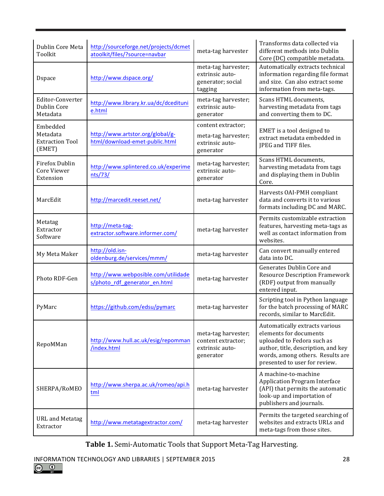| Dublin Core Meta<br>Toolkit                       | http://sourceforge.net/projects/dcmet<br>atoolkit/files/?source=navbar | meta-tag harvester                                                        | Transforms data collected via<br>different methods into Dublin<br>Core (DC) compatible metadata.                                                                                                   |
|---------------------------------------------------|------------------------------------------------------------------------|---------------------------------------------------------------------------|----------------------------------------------------------------------------------------------------------------------------------------------------------------------------------------------------|
| Dspace                                            | http://www.dspace.org/                                                 | meta-tag harvester;<br>extrinsic auto-<br>generator; social<br>tagging    | Automatically extracts technical<br>information regarding file format<br>and size. Can also extract some<br>information from meta-tags.                                                            |
| Editor-Converter<br>Dublin Core<br>Metadata       | http://www.library.kr.ua/dc/dcedituni<br>e.html                        | meta-tag harvester;<br>extrinsic auto-<br>generator                       | Scans HTML documents,<br>harvesting metadata from tags<br>and converting them to DC.                                                                                                               |
| Embedded                                          |                                                                        | content extractor;                                                        | EMET is a tool designed to                                                                                                                                                                         |
| Metadata<br><b>Extraction Tool</b><br>(EMET)      | http://www.artstor.org/global/g-<br>html/download-emet-public.html     | meta-tag harvester;<br>extrinsic auto-<br>generator                       | extract metadata embedded in<br>JPEG and TIFF files.                                                                                                                                               |
| <b>Firefox Dublin</b><br>Core Viewer<br>Extension | http://www.splintered.co.uk/experime<br>nts/73/                        | meta-tag harvester;<br>extrinsic auto-<br>generator                       | Scans HTML documents,<br>harvesting metadata from tags<br>and displaying them in Dublin<br>Core.                                                                                                   |
| MarcEdit                                          | http://marcedit.reeset.net/                                            | meta-tag harvester                                                        | Harvests OAI-PMH compliant<br>data and converts it to various<br>formats including DC and MARC.                                                                                                    |
| Metatag<br>Extractor<br>Software                  | http://meta-tag-<br>extractor.software.informer.com/                   | meta-tag harvester                                                        | Permits customizable extraction<br>features, harvesting meta-tags as<br>well as contact information from<br>websites.                                                                              |
| My Meta Maker                                     | http://old.isn-<br>oldenburg.de/services/mmm/                          | meta-tag harvester                                                        | Can convert manually entered<br>data into DC.                                                                                                                                                      |
| Photo RDF-Gen                                     | http://www.webposible.com/utilidade<br>s/photo_rdf_generator_en.html   | meta-tag harvester                                                        | Generates Dublin Core and<br><b>Resource Description Framework</b><br>(RDF) output from manually<br>entered input.                                                                                 |
| PyMarc                                            | https://github.com/edsu/pymarc                                         | meta-tag harvester                                                        | Scripting tool in Python language<br>for the batch processing of MARC<br>records, similar to MarcEdit.                                                                                             |
| RepoMMan                                          | http://www.hull.ac.uk/esig/repomman<br>/index.html                     | meta-tag harvester;<br>content extractor;<br>extrinsic auto-<br>generator | Automatically extracts various<br>elements for documents<br>uploaded to Fedora such as<br>author, title, description, and key<br>words, among others. Results are<br>presented to user for review. |
| SHERPA/RoMEO                                      | http://www.sherpa.ac.uk/romeo/api.h<br>tml                             | meta-tag harvester                                                        | A machine-to-machine<br>Application Program Interface<br>(API) that permits the automatic<br>look-up and importation of<br>publishers and journals.                                                |
| <b>URL</b> and Metatag<br>Extractor               | http://www.metatagextractor.com/                                       | meta-tag harvester                                                        | Permits the targeted searching of<br>websites and extracts URLs and<br>meta-tags from those sites.                                                                                                 |

Table 1. Semi-Automatic Tools that Support Meta-Tag Harvesting.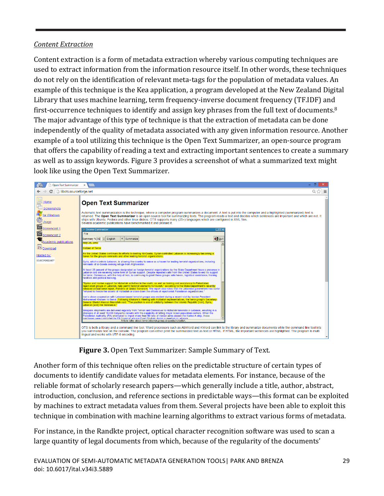### *Content Extraction*

Content extraction is a form of metadata extraction whereby various computing techniques are used to extract information from the information resource itself. In other words, these techniques do not rely on the identification of relevant meta-tags for the population of metadata values. An example of this technique is the Kea application, a program developed at the New Zealand Digital Library that uses machine learning, term frequency-inverse document frequency (TF.IDF) and first-occurrence techniques to identify and assign key phrases from the full text of documents.<sup>8</sup> The major advantage of this type of technique is that the extraction of metadata can be done independently of the quality of metadata associated with any given information resource. Another example of a tool utilizing this technique is the Open Text Summarizer, an open-source program that offers the capability of reading a text and extracting important sentences to create a summary as well as to assign keywords. Figure 3 provides a screenshot of what a summarized text might look like using the Open Text Summarizer.



**Figure 3.** Open Text Summarizer: Sample Summary of Text.

Another form of this technique often relies on the predictable structure of certain types of documents to identify candidate values for metadata elements. For instance, because of the reliable format of scholarly research papers—which generally include a title, author, abstract, introduction, conclusion, and reference sections in predictable ways—this format can be exploited by machines to extract metadata values from them. Several projects have been able to exploit this technique in combination with machine learning algorithms to extract various forms of metadata.

For instance, in the Randkte project, optical character recognition software was used to scan a large quantity of legal documents from which, because of the regularity of the documents'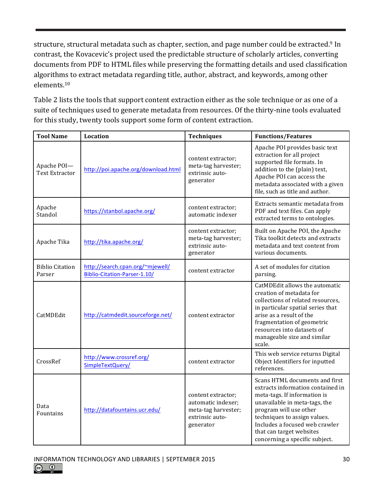structure, structural metadata such as chapter, section, and page number could be extracted.<sup>9</sup> In contrast, the Kovacevic's project used the predictable structure of scholarly articles, converting documents from PDF to HTML files while preserving the formatting details and used classification algorithms to extract metadata regarding title, author, abstract, and keywords, among other elements.10

Table 2 lists the tools that support content extraction either as the sole technique or as one of a suite of techniques used to generate metadata from resources. Of the thirty-nine tools evaluated for this study, twenty tools support some form of content extraction.

| <b>Tool Name</b>                     | <b>Location</b>                                                  | <b>Techniques</b>                                                                               | <b>Functions/Features</b>                                                                                                                                                                                                                                                                      |
|--------------------------------------|------------------------------------------------------------------|-------------------------------------------------------------------------------------------------|------------------------------------------------------------------------------------------------------------------------------------------------------------------------------------------------------------------------------------------------------------------------------------------------|
| Apache POI-<br><b>Text Extractor</b> | http://poi.apache.org/download.html                              | content extractor;<br>meta-tag harvester;<br>extrinsic auto-<br>generator                       | Apache POI provides basic text<br>extraction for all project<br>supported file formats. In<br>addition to the (plain) text,<br>Apache POI can access the<br>metadata associated with a given<br>file, such as title and author.                                                                |
| Apache<br>Standol                    | https://stanbol.apache.org/                                      | content extractor;<br>automatic indexer                                                         | Extracts semantic metadata from<br>PDF and text files. Can apply<br>extracted terms to ontologies.                                                                                                                                                                                             |
| Apache Tika                          | http://tika.apache.org/                                          | content extractor;<br>meta-tag harvester;<br>extrinsic auto-<br>generator                       | Built on Apache POI, the Apache<br>Tika toolkit detects and extracts<br>metadata and text content from<br>various documents.                                                                                                                                                                   |
| <b>Biblio Citation</b><br>Parser     | http://search.cpan.org/~mjewell/<br>Biblio-Citation-Parser-1.10/ | content extractor                                                                               | A set of modules for citation<br>parsing.                                                                                                                                                                                                                                                      |
| CatMDEdit                            | http://catmdedit.sourceforge.net/                                | content extractor                                                                               | CatMDEdit allows the automatic<br>creation of metadata for<br>collections of related resources,<br>in particular spatial series that<br>arise as a result of the<br>fragmentation of geometric<br>resources into datasets of<br>manageable size and similar<br>scale.                          |
| CrossRef                             | http://www.crossref.org/<br>SimpleTextQuery/                     | content extractor                                                                               | This web service returns Digital<br>Object Identifiers for inputted<br>references.                                                                                                                                                                                                             |
| Data<br>Fountains                    | http://datafountains.ucr.edu/                                    | content extractor:<br>automatic indexer;<br>meta-tag harvester;<br>extrinsic auto-<br>generator | Scans HTML documents and first<br>extracts information contained in<br>meta-tags. If information is<br>unavailable in meta-tags, the<br>program will use other<br>techniques to assign values.<br>Includes a focused web crawler<br>that can target websites<br>concerning a specific subject. |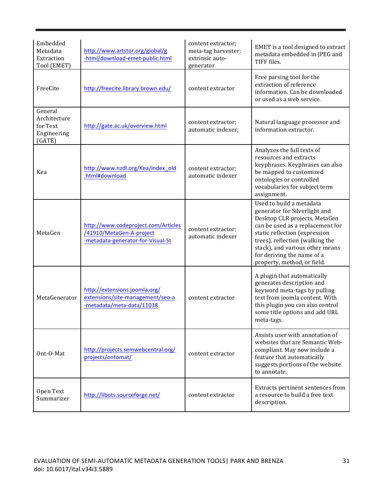| Embedded<br>Metadata<br>Extraction<br>Tool (EMET)            | http://www.artstor.org/global/g<br>-html/download-emet-public.html                                   | content extractor;<br>meta-tag harvester;<br>extrinsic auto-<br>generator | EMET is a tool designed to extract<br>metadata embedded in JPEG and<br>TIFF files.                                                                                                                                                                                                                 |
|--------------------------------------------------------------|------------------------------------------------------------------------------------------------------|---------------------------------------------------------------------------|----------------------------------------------------------------------------------------------------------------------------------------------------------------------------------------------------------------------------------------------------------------------------------------------------|
| FreeCite                                                     | http://freecite.library.brown.edu/                                                                   | content extractor                                                         | Free parsing tool for the<br>extraction of reference<br>information. Can be downloaded<br>or used as a web service.                                                                                                                                                                                |
| General<br>Architecture<br>for Text<br>Engineering<br>(GATE) | http://gate.ac.uk/overview.html                                                                      | content extractor;<br>automatic indexer;                                  | Natural language processor and<br>information extractor.                                                                                                                                                                                                                                           |
| Kea                                                          | http://www.nzdl.org/Kea/index_old<br>.html#download                                                  | content extractor;<br>automatic indexer                                   | Analyzes the full texts of<br>resources and extracts<br>keyphrases. Keyphrases can also<br>be mapped to customized<br>ontologies or controlled<br>vocabularies for subject term<br>assignment.                                                                                                     |
| MetaGen                                                      | http://www.codeproject.com/Articles<br>/41910/MetaGen-A-project<br>-metadata-generator-for-Visual-St | content extractor;<br>automatic indexer                                   | Used to build a metadata<br>generator for Silverlight and<br>Desktop CLR projects, MetaGen<br>can be used as a replacement for<br>static reflection (expression<br>trees), reflection (walking the<br>stack), and various other means<br>for deriving the name of a<br>property, method, or field. |
| MetaGenerator                                                | http://extensions.joomla.org/<br>extensions/site-management/seo-a<br>-metadata/meta-data/11038       | content extractor                                                         | A plugin that automatically<br>generates description and<br>keyword meta-tags by pulling<br>text from joomla content. With<br>this plugin you can also control<br>some title options and add URL<br>meta-tags.                                                                                     |
| Ont-O-Mat                                                    | http://projects.semwebcentral.org/<br>projects/ontomat/                                              | content extractor                                                         | Assists user with annotation of<br>websites that are Semantic Web-<br>compliant. May now include a<br>feature that automatically<br>suggests portions of the website<br>to annotate.                                                                                                               |
| Open Text<br>Summarizer                                      | http://libots.sourceforge.net/                                                                       | content extractor                                                         | Extracts pertinent sentences from<br>a resource to build a free text<br>description.                                                                                                                                                                                                               |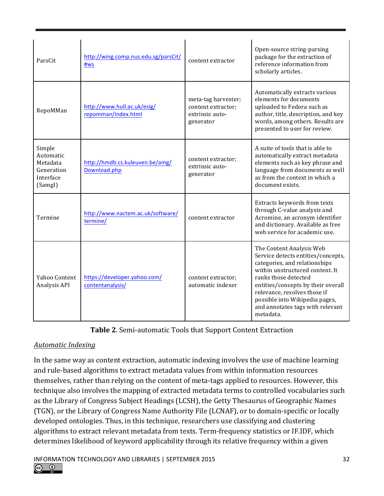| ParsCit                                                               | http://wing.comp.nus.edu.sg/parsCit/<br>#ws        | content extractor                                                         | Open-source string-parsing<br>package for the extraction of<br>reference information from<br>scholarly articles.                                                                                                                                                                                                    |
|-----------------------------------------------------------------------|----------------------------------------------------|---------------------------------------------------------------------------|---------------------------------------------------------------------------------------------------------------------------------------------------------------------------------------------------------------------------------------------------------------------------------------------------------------------|
| RepoMMan                                                              | http://www.hull.ac.uk/esig/<br>repomman/index.html | meta-tag harvester;<br>content extractor;<br>extrinsic auto-<br>generator | Automatically extracts various<br>elements for documents<br>uploaded to Fedora such as<br>author, title, description, and key<br>words, among others. Results are<br>presented to user for review.                                                                                                                  |
| Simple<br>Automatic<br>Metadata<br>Generation<br>Interface<br>(SamgI) | http://hmdb.cs.kuleuven.be/amg/<br>Download.php    | content extractor;<br>extrinsic auto-<br>generator                        | A suite of tools that is able to<br>automatically extract metadata<br>elements such as key phrase and<br>language from documents as well<br>as from the context in which a<br>document exists.                                                                                                                      |
| Termine                                                               | http://www.nactem.ac.uk/software/<br>termine/      | content extractor                                                         | Extracts keywords from texts<br>through C-value analysis and<br>Acromine, an acronym identifier<br>and dictionary. Available as free<br>web service for academic use.                                                                                                                                               |
| Yahoo Content<br>Analysis API                                         | https://developer.yahoo.com/<br>contentanalysis/   | content extractor;<br>automatic indexer                                   | The Content Analysis Web<br>Service detects entities/concepts,<br>categories, and relationships<br>within unstructured content. It<br>ranks those detected<br>entities/concepts by their overall<br>relevance, resolves those if<br>possible into Wikipedia pages,<br>and annotates tags with relevant<br>metadata. |

#### **Table 2.** Semi-automatic Tools that Support Content Extraction

#### *Automatic Indexing*

In the same way as content extraction, automatic indexing involves the use of machine learning and rule-based algorithms to extract metadata values from within information resources themselves, rather than relying on the content of meta-tags applied to resources. However, this technique also involves the mapping of extracted metadata terms to controlled vocabularies such as the Library of Congress Subject Headings (LCSH), the Getty Thesaurus of Geographic Names (TGN), or the Library of Congress Name Authority File (LCNAF), or to domain-specific or locally developed ontologies. Thus, in this technique, researchers use classifying and clustering algorithms to extract relevant metadata from texts. Term-frequency statistics or IF.IDF, which determines likelihood of keyword applicability through its relative frequency within a given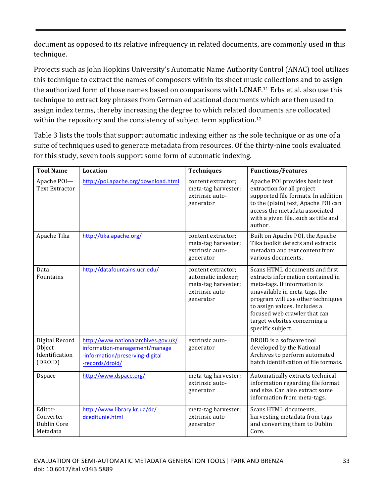document as opposed to its relative infrequency in related documents, are commonly used in this technique.

Projects such as John Hopkins University's Automatic Name Authority Control (ANAC) tool utilizes this technique to extract the names of composers within its sheet music collections and to assign the authorized form of those names based on comparisons with LCNAF.<sup>11</sup> Erbs et al. also use this technique to extract key phrases from German educational documents which are then used to assign index terms, thereby increasing the degree to which related documents are collocated within the repository and the consistency of subject term application.<sup>12</sup>

Table 3 lists the tools that support automatic indexing either as the sole technique or as one of a suite of techniques used to generate metadata from resources. Of the thirty-nine tools evaluated for this study, seven tools support some form of automatic indexing.

| <b>Tool Name</b>                                      | <b>Location</b>                                                                                                            | <b>Techniques</b>                                                                               | <b>Functions/Features</b>                                                                                                                                                                                                                                                                      |
|-------------------------------------------------------|----------------------------------------------------------------------------------------------------------------------------|-------------------------------------------------------------------------------------------------|------------------------------------------------------------------------------------------------------------------------------------------------------------------------------------------------------------------------------------------------------------------------------------------------|
| Apache POI-<br><b>Text Extractor</b>                  | http://poi.apache.org/download.html                                                                                        | content extractor;<br>meta-tag harvester;<br>extrinsic auto-<br>generator                       | Apache POI provides basic text<br>extraction for all project<br>supported file formats. In addition<br>to the (plain) text, Apache POI can<br>access the metadata associated<br>with a given file, such as title and<br>author.                                                                |
| Apache Tika                                           | http://tika.apache.org/                                                                                                    | content extractor;<br>meta-tag harvester;<br>extrinsic auto-<br>generator                       | Built on Apache POI, the Apache<br>Tika toolkit detects and extracts<br>metadata and text content from<br>various documents.                                                                                                                                                                   |
| Data<br>Fountains                                     | http://datafountains.ucr.edu/                                                                                              | content extractor;<br>automatic indexer;<br>meta-tag harvester;<br>extrinsic auto-<br>generator | Scans HTML documents and first<br>extracts information contained in<br>meta-tags. If information is<br>unavailable in meta-tags, the<br>program will use other techniques<br>to assign values. Includes a<br>focused web crawler that can<br>target websites concerning a<br>specific subject. |
| Digital Record<br>Object<br>Identification<br>(DROID) | http://www.nationalarchives.gov.uk/<br>information-management/manage<br>-information/preserving-digital<br>-records/droid/ | extrinsic auto-<br>generator                                                                    | DROID is a software tool<br>developed by the National<br>Archives to perform automated<br>batch identification of file formats.                                                                                                                                                                |
| <b>D</b> space                                        | http://www.dspace.org/                                                                                                     | meta-tag harvester;<br>extrinsic auto-<br>generator                                             | Automatically extracts technical<br>information regarding file format<br>and size. Can also extract some<br>information from meta-tags.                                                                                                                                                        |
| Editor-<br>Converter<br>Dublin Core<br>Metadata       | http://www.library.kr.ua/dc/<br>dceditunie.html                                                                            | meta-tag harvester;<br>extrinsic auto-<br>generator                                             | Scans HTML documents,<br>harvesting metadata from tags<br>and converting them to Dublin<br>Core.                                                                                                                                                                                               |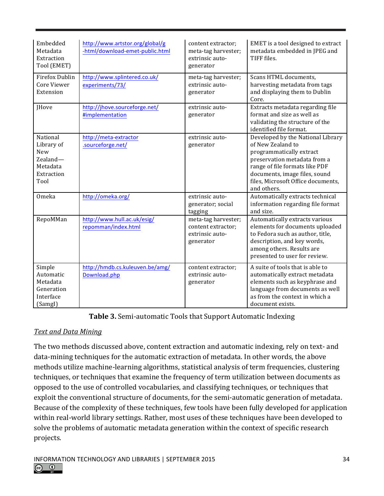| Embedded<br>Metadata<br>Extraction<br>Tool (EMET)                           | http://www.artstor.org/global/g<br>-html/download-emet-public.html | content extractor;<br>meta-tag harvester;<br>extrinsic auto-<br>generator | EMET is a tool designed to extract<br>metadata embedded in JPEG and<br>TIFF files.                                                                                                                                                         |
|-----------------------------------------------------------------------------|--------------------------------------------------------------------|---------------------------------------------------------------------------|--------------------------------------------------------------------------------------------------------------------------------------------------------------------------------------------------------------------------------------------|
| <b>Firefox Dublin</b><br>Core Viewer<br>Extension                           | http://www.splintered.co.uk/<br>experiments/73/                    | meta-tag harvester;<br>extrinsic auto-<br>generator                       | Scans HTML documents,<br>harvesting metadata from tags<br>and displaying them to Dublin<br>Core.                                                                                                                                           |
| <b>Hove</b>                                                                 | http://jhove.sourceforge.net/<br>#implementation                   | extrinsic auto-<br>generator                                              | Extracts metadata regarding file<br>format and size as well as<br>validating the structure of the<br>identified file format.                                                                                                               |
| National<br>Library of<br>New<br>Zealand-<br>Metadata<br>Extraction<br>Tool | http://meta-extractor<br>.sourceforge.net/                         | extrinsic auto-<br>generator                                              | Developed by the National Library<br>of New Zealand to<br>programmatically extract<br>preservation metadata from a<br>range of file formats like PDF<br>documents, image files, sound<br>files, Microsoft Office documents,<br>and others. |
| Omeka                                                                       | http://omeka.org/                                                  | extrinsic auto-<br>generator; social<br>tagging                           | Automatically extracts technical<br>information regarding file format<br>and size.                                                                                                                                                         |
| RepoMMan                                                                    | http://www.hull.ac.uk/esig/<br>repomman/index.html                 | meta-tag harvester;<br>content extractor;<br>extrinsic auto-<br>generator | Automatically extracts various<br>elements for documents uploaded<br>to Fedora such as author, title,<br>description, and key words,<br>among others. Results are<br>presented to user for review.                                         |
| Simple<br>Automatic<br>Metadata<br>Generation<br>Interface<br>(SamgI)       | http://hmdb.cs.kuleuven.be/amg/<br>Download.php                    | content extractor;<br>extrinsic auto-<br>generator                        | A suite of tools that is able to<br>automatically extract metadata<br>elements such as keyphrase and<br>language from documents as well<br>as from the context in which a<br>document exists.                                              |

**Table 3.** Semi-automatic Tools that Support Automatic Indexing

#### **Text and Data Mining**

The two methods discussed above, content extraction and automatic indexing, rely on text- and data-mining techniques for the automatic extraction of metadata. In other words, the above methods utilize machine-learning algorithms, statistical analysis of term frequencies, clustering techniques, or techniques that examine the frequency of term utilization between documents as opposed to the use of controlled vocabularies, and classifying techniques, or techniques that exploit the conventional structure of documents, for the semi-automatic generation of metadata. Because of the complexity of these techniques, few tools have been fully developed for application within real-world library settings. Rather, most uses of these techniques have been developed to solve the problems of automatic metadata generation within the context of specific research projects.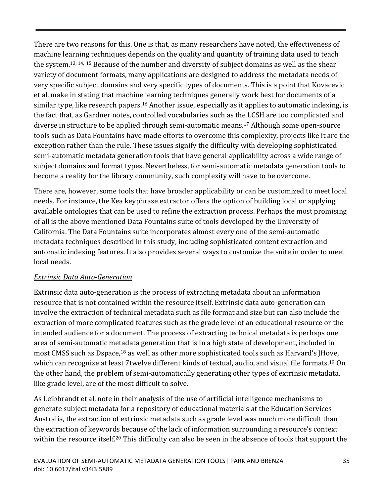There are two reasons for this. One is that, as many researchers have noted, the effectiveness of machine learning techniques depends on the quality and quantity of training data used to teach the system.<sup>13, 14, 15</sup> Because of the number and diversity of subject domains as well as the shear variety of document formats, many applications are designed to address the metadata needs of very specific subject domains and very specific types of documents. This is a point that Kovacevic et al. make in stating that machine learning techniques generally work best for documents of a similar type, like research papers.<sup>16</sup> Another issue, especially as it applies to automatic indexing, is the fact that, as Gardner notes, controlled vocabularies such as the LCSH are too complicated and diverse in structure to be applied through semi-automatic means.<sup>17</sup> Although some open-source tools such as Data Fountains have made efforts to overcome this complexity, projects like it are the exception rather than the rule. These issues signify the difficulty with developing sophisticated semi-automatic metadata generation tools that have general applicability across a wide range of subject domains and format types. Nevertheless, for semi-automatic metadata generation tools to become a reality for the library community, such complexity will have to be overcome.

There are, however, some tools that have broader applicability or can be customized to meet local needs. For instance, the Kea keyphrase extractor offers the option of building local or applying available ontologies that can be used to refine the extraction process. Perhaps the most promising of all is the above mentioned Data Fountains suite of tools developed by the University of California. The Data Fountains suite incorporates almost every one of the semi-automatic metadata techniques described in this study, including sophisticated content extraction and automatic indexing features. It also provides several ways to customize the suite in order to meet local needs.

#### *Extrinsic Data Auto-Generation*

Extrinsic data auto-generation is the process of extracting metadata about an information resource that is not contained within the resource itself. Extrinsic data auto-generation can involve the extraction of technical metadata such as file format and size but can also include the extraction of more complicated features such as the grade level of an educational resource or the intended audience for a document. The process of extracting technical metadata is perhaps one area of semi-automatic metadata generation that is in a high state of development, included in most CMSS such as Dspace,<sup>18</sup> as well as other more sophisticated tools such as Harvard's JHove, which can recognize at least 7 twelve different kinds of textual, audio, and visual file formats.<sup>19</sup> On the other hand, the problem of semi-automatically generating other types of extrinsic metadata, like grade level, are of the most difficult to solve.

As Leibbrandt et al. note in their analysis of the use of artificial intelligence mechanisms to generate subject metadata for a repository of educational materials at the Education Services Australia, the extraction of extrinsic metadata such as grade level was much more difficult than the extraction of keywords because of the lack of information surrounding a resource's context within the resource itself.<sup>20</sup> This difficulty can also be seen in the absence of tools that support the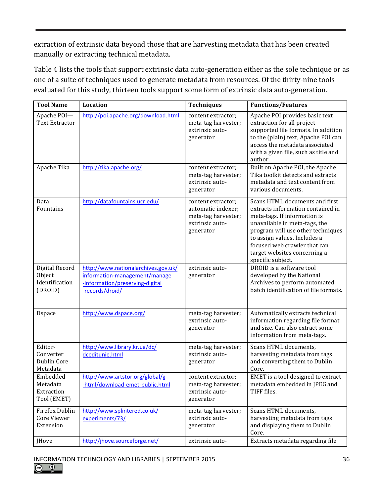extraction of extrinsic data beyond those that are harvesting metadata that has been created manually or extracting technical metadata.

Table 4 lists the tools that support extrinsic data auto-generation either as the sole technique or as one of a suite of techniques used to generate metadata from resources. Of the thirty-nine tools evaluated for this study, thirteen tools support some form of extrinsic data auto-generation.

| <b>Tool Name</b>                                      | Location                                                                                                                   | <b>Techniques</b>                                                                               | <b>Functions/Features</b>                                                                                                                                                                                                                                                                      |
|-------------------------------------------------------|----------------------------------------------------------------------------------------------------------------------------|-------------------------------------------------------------------------------------------------|------------------------------------------------------------------------------------------------------------------------------------------------------------------------------------------------------------------------------------------------------------------------------------------------|
| Apache POI-<br><b>Text Extractor</b>                  | http://poi.apache.org/download.html                                                                                        | content extractor;<br>meta-tag harvester;<br>extrinsic auto-<br>generator                       | Apache POI provides basic text<br>extraction for all project<br>supported file formats. In addition<br>to the (plain) text, Apache POI can<br>access the metadata associated<br>with a given file, such as title and<br>author.                                                                |
| Apache Tika                                           | http://tika.apache.org/                                                                                                    | content extractor;<br>meta-tag harvester;<br>extrinsic auto-<br>generator                       | Built on Apache POI, the Apache<br>Tika toolkit detects and extracts<br>metadata and text content from<br>various documents.                                                                                                                                                                   |
| Data<br>Fountains                                     | http://datafountains.ucr.edu/                                                                                              | content extractor;<br>automatic indexer;<br>meta-tag harvester;<br>extrinsic auto-<br>generator | Scans HTML documents and first<br>extracts information contained in<br>meta-tags. If information is<br>unavailable in meta-tags, the<br>program will use other techniques<br>to assign values. Includes a<br>focused web crawler that can<br>target websites concerning a<br>specific subject. |
| Digital Record<br>Object<br>Identification<br>(DROID) | http://www.nationalarchives.gov.uk/<br>information-management/manage<br>-information/preserving-digital<br>-records/droid/ | extrinsic auto-<br>generator                                                                    | DROID is a software tool<br>developed by the National<br>Archives to perform automated<br>batch identification of file formats.                                                                                                                                                                |
| <b>D</b> space                                        | http://www.dspace.org/                                                                                                     | meta-tag harvester;<br>extrinsic auto-<br>generator                                             | Automatically extracts technical<br>information regarding file format<br>and size. Can also extract some<br>information from meta-tags.                                                                                                                                                        |
| Editor-<br>Converter<br>Dublin Core<br>Metadata       | http://www.library.kr.ua/dc/<br>dceditunie.html                                                                            | meta-tag harvester;<br>extrinsic auto-<br>generator                                             | Scans HTML documents,<br>harvesting metadata from tags<br>and converting them to Dublin<br>Core.                                                                                                                                                                                               |
| Embedded<br>Metadata<br>Extraction<br>Tool (EMET)     | http://www.artstor.org/global/g<br>-html/download-emet-public.html                                                         | content extractor;<br>meta-tag harvester;<br>extrinsic auto-<br>generator                       | EMET is a tool designed to extract<br>metadata embedded in JPEG and<br>TIFF files.                                                                                                                                                                                                             |
| <b>Firefox Dublin</b><br>Core Viewer<br>Extension     | http://www.splintered.co.uk/<br>experiments/73/                                                                            | meta-tag harvester;<br>extrinsic auto-<br>generator                                             | Scans HTML documents,<br>harvesting metadata from tags<br>and displaying them to Dublin<br>Core.                                                                                                                                                                                               |
| JHove                                                 | http://jhove.sourceforge.net/                                                                                              | extrinsic auto-                                                                                 | Extracts metadata regarding file                                                                                                                                                                                                                                                               |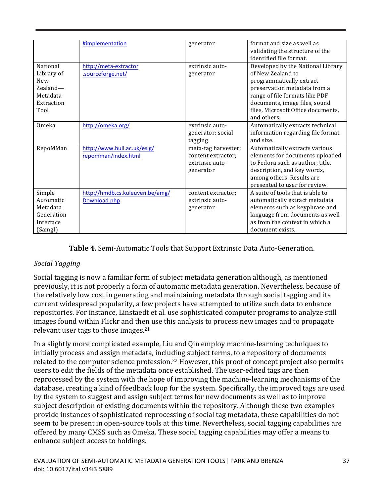|            | #implementation                 | generator           | format and size as well as         |
|------------|---------------------------------|---------------------|------------------------------------|
|            |                                 |                     | validating the structure of the    |
|            |                                 |                     | identified file format.            |
| National   | http://meta-extractor           | extrinsic auto-     | Developed by the National Library  |
| Library of | .sourceforge.net/               | generator           | of New Zealand to                  |
| <b>New</b> |                                 |                     | programmatically extract           |
| Zealand-   |                                 |                     | preservation metadata from a       |
| Metadata   |                                 |                     | range of file formats like PDF     |
| Extraction |                                 |                     | documents, image files, sound      |
| Tool       |                                 |                     | files, Microsoft Office documents, |
|            |                                 |                     | and others.                        |
| Omeka      | http://omeka.org/               | extrinsic auto-     | Automatically extracts technical   |
|            |                                 | generator; social   | information regarding file format  |
|            |                                 | tagging             | and size.                          |
| RepoMMan   | http://www.hull.ac.uk/esig/     | meta-tag harvester; | Automatically extracts various     |
|            | repomman/index.html             | content extractor;  | elements for documents uploaded    |
|            |                                 | extrinsic auto-     | to Fedora such as author, title,   |
|            |                                 | generator           | description, and key words,        |
|            |                                 |                     | among others. Results are          |
|            |                                 |                     | presented to user for review.      |
| Simple     | http://hmdb.cs.kuleuven.be/amg/ | content extractor:  | A suite of tools that is able to   |
| Automatic  | Download.php                    | extrinsic auto-     | automatically extract metadata     |
| Metadata   |                                 | generator           | elements such as keyphrase and     |
| Generation |                                 |                     | language from documents as well    |
| Interface  |                                 |                     | as from the context in which a     |
| (SamgI)    |                                 |                     | document exists.                   |

**Table 4.** Semi-Automatic Tools that Support Extrinsic Data Auto-Generation.

#### *Social Tagging*

Social tagging is now a familiar form of subject metadata generation although, as mentioned previously, it is not properly a form of automatic metadata generation. Nevertheless, because of the relatively low cost in generating and maintaining metadata through social tagging and its current widespread popularity, a few projects have attempted to utilize such data to enhance repositories. For instance, Linstaedt et al. use sophisticated computer programs to analyze still images found within Flickr and then use this analysis to process new images and to propagate relevant user tags to those images. $21$ 

In a slightly more complicated example, Liu and Qin employ machine-learning techniques to initially process and assign metadata, including subject terms, to a repository of documents related to the computer science profession.<sup>22</sup> However, this proof of concept project also permits users to edit the fields of the metadata once established. The user-edited tags are then reprocessed by the system with the hope of improving the machine-learning mechanisms of the database, creating a kind of feedback loop for the system. Specifically, the improved tags are used by the system to suggest and assign subject terms for new documents as well as to improve subject description of existing documents within the repository. Although these two examples provide instances of sophisticated reprocessing of social tag metadata, these capabilities do not seem to be present in open-source tools at this time. Nevertheless, social tagging capabilities are offered by many CMSS such as Omeka. These social tagging capabilities may offer a means to enhance subject access to holdings.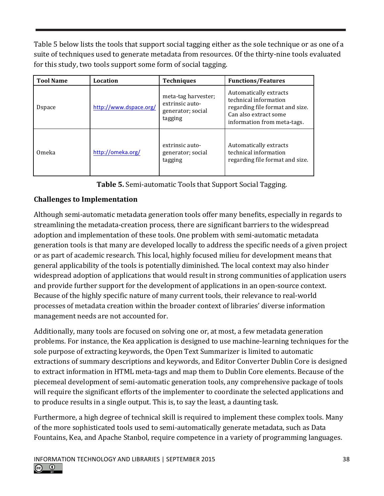Table 5 below lists the tools that support social tagging either as the sole technique or as one of a suite of techniques used to generate metadata from resources. Of the thirty-nine tools evaluated for this study, two tools support some form of social tagging.

| <b>Tool Name</b> | Location               | <b>Techniques</b>                                                      | <b>Functions/Features</b>                                                                                                                  |
|------------------|------------------------|------------------------------------------------------------------------|--------------------------------------------------------------------------------------------------------------------------------------------|
| <b>D</b> space   | http://www.dspace.org/ | meta-tag harvester;<br>extrinsic auto-<br>generator; social<br>tagging | Automatically extracts<br>technical information<br>regarding file format and size.<br>Can also extract some<br>information from meta-tags. |
| Omeka            | http://omeka.org/      | extrinsic auto-<br>generator; social<br>tagging                        | Automatically extracts<br>technical information<br>regarding file format and size.                                                         |

**Table 5.** Semi-automatic Tools that Support Social Tagging.

## **Challenges to Implementation**

Although semi-automatic metadata generation tools offer many benefits, especially in regards to streamlining the metadata-creation process, there are significant barriers to the widespread adoption and implementation of these tools. One problem with semi-automatic metadata generation tools is that many are developed locally to address the specific needs of a given project or as part of academic research. This local, highly focused milieu for development means that general applicability of the tools is potentially diminished. The local context may also hinder widespread adoption of applications that would result in strong communities of application users and provide further support for the development of applications in an open-source context. Because of the highly specific nature of many current tools, their relevance to real-world processes of metadata creation within the broader context of libraries' diverse information management needs are not accounted for.

Additionally, many tools are focused on solving one or, at most, a few metadata generation problems. For instance, the Kea application is designed to use machine-learning techniques for the sole purpose of extracting keywords, the Open Text Summarizer is limited to automatic extractions of summary descriptions and keywords, and Editor Converter Dublin Core is designed to extract information in HTML meta-tags and map them to Dublin Core elements. Because of the piecemeal development of semi-automatic generation tools, any comprehensive package of tools will require the significant efforts of the implementer to coordinate the selected applications and to produce results in a single output. This is, to say the least, a daunting task.

Furthermore, a high degree of technical skill is required to implement these complex tools. Many of the more sophisticated tools used to semi-automatically generate metadata, such as Data Fountains, Kea, and Apache Stanbol, require competence in a variety of programming languages.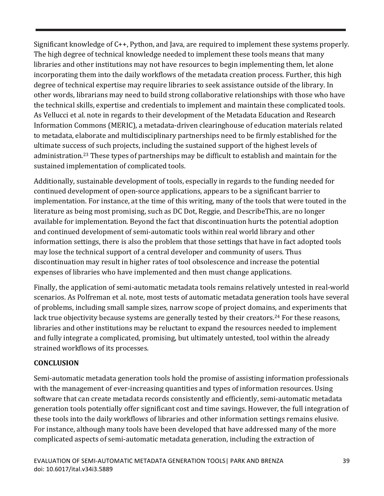Significant knowledge of  $C_{++}$ , Python, and Java, are required to implement these systems properly. The high degree of technical knowledge needed to implement these tools means that many libraries and other institutions may not have resources to begin implementing them, let alone incorporating them into the daily workflows of the metadata creation process. Further, this high degree of technical expertise may require libraries to seek assistance outside of the library. In other words, librarians may need to build strong collaborative relationships with those who have the technical skills, expertise and credentials to implement and maintain these complicated tools. As Vellucci et al. note in regards to their development of the Metadata Education and Research Information Commons (MERIC), a metadata-driven clearinghouse of education materials related to metadata, elaborate and multidisciplinary partnerships need to be firmly established for the ultimate success of such projects, including the sustained support of the highest levels of administration.<sup>23</sup> These types of partnerships may be difficult to establish and maintain for the sustained implementation of complicated tools.

Additionally, sustainable development of tools, especially in regards to the funding needed for continued development of open-source applications, appears to be a significant barrier to implementation. For instance, at the time of this writing, many of the tools that were touted in the literature as being most promising, such as DC Dot, Reggie, and DescribeThis, are no longer available for implementation. Beyond the fact that discontinuation hurts the potential adoption and continued development of semi-automatic tools within real world library and other information settings, there is also the problem that those settings that have in fact adopted tools may lose the technical support of a central developer and community of users. Thus discontinuation may result in higher rates of tool obsolescence and increase the potential expenses of libraries who have implemented and then must change applications.

Finally, the application of semi-automatic metadata tools remains relatively untested in real-world scenarios. As Polfreman et al. note, most tests of automatic metadata generation tools have several of problems, including small sample sizes, narrow scope of project domains, and experiments that lack true objectivity because systems are generally tested by their creators.<sup>24</sup> For these reasons, libraries and other institutions may be reluctant to expand the resources needed to implement and fully integrate a complicated, promising, but ultimately untested, tool within the already strained workflows of its processes.

## **CONCLUSION**

Semi-automatic metadata generation tools hold the promise of assisting information professionals with the management of ever-increasing quantities and types of information resources. Using software that can create metadata records consistently and efficiently, semi-automatic metadata generation tools potentially offer significant cost and time savings. However, the full integration of these tools into the daily workflows of libraries and other information settings remains elusive. For instance, although many tools have been developed that have addressed many of the more complicated aspects of semi-automatic metadata generation, including the extraction of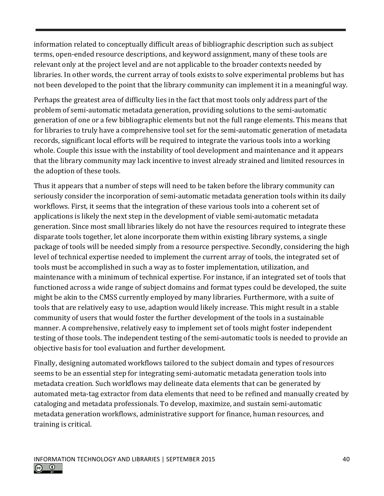information related to conceptually difficult areas of bibliographic description such as subject terms, open-ended resource descriptions, and keyword assignment, many of these tools are relevant only at the project level and are not applicable to the broader contexts needed by libraries. In other words, the current array of tools exists to solve experimental problems but has not been developed to the point that the library community can implement it in a meaningful way.

Perhaps the greatest area of difficulty lies in the fact that most tools only address part of the problem of semi-automatic metadata generation, providing solutions to the semi-automatic generation of one or a few bibliographic elements but not the full range elements. This means that for libraries to truly have a comprehensive tool set for the semi-automatic generation of metadata records, significant local efforts will be required to integrate the various tools into a working whole. Couple this issue with the instability of tool development and maintenance and it appears that the library community may lack incentive to invest already strained and limited resources in the adoption of these tools.

Thus it appears that a number of steps will need to be taken before the library community can seriously consider the incorporation of semi-automatic metadata generation tools within its daily workflows. First, it seems that the integration of these various tools into a coherent set of applications is likely the next step in the development of viable semi-automatic metadata generation. Since most small libraries likely do not have the resources required to integrate these disparate tools together, let alone incorporate them within existing library systems, a single package of tools will be needed simply from a resource perspective. Secondly, considering the high level of technical expertise needed to implement the current array of tools, the integrated set of tools must be accomplished in such a way as to foster implementation, utilization, and maintenance with a minimum of technical expertise. For instance, if an integrated set of tools that functioned across a wide range of subject domains and format types could be developed, the suite might be akin to the CMSS currently employed by many libraries. Furthermore, with a suite of tools that are relatively easy to use, adaption would likely increase. This might result in a stable community of users that would foster the further development of the tools in a sustainable manner. A comprehensive, relatively easy to implement set of tools might foster independent testing of those tools. The independent testing of the semi-automatic tools is needed to provide an objective basis for tool evaluation and further development.

Finally, designing automated workflows tailored to the subject domain and types of resources seems to be an essential step for integrating semi-automatic metadata generation tools into metadata creation. Such workflows may delineate data elements that can be generated by automated meta-tag extractor from data elements that need to be refined and manually created by cataloging and metadata professionals. To develop, maximize, and sustain semi-automatic metadata generation workflows, administrative support for finance, human resources, and training is critical.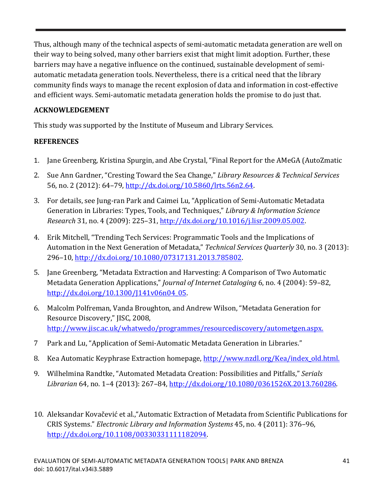Thus, although many of the technical aspects of semi-automatic metadata generation are well on their way to being solved, many other barriers exist that might limit adoption. Further, these barriers may have a negative influence on the continued, sustainable development of semiautomatic metadata generation tools. Nevertheless, there is a critical need that the library community finds ways to manage the recent explosion of data and information in cost-effective and efficient ways. Semi-automatic metadata generation holds the promise to do just that.

#### **ACKNOWLEDGEMENT**

This study was supported by the Institute of Museum and Library Services.

#### **REFERENCES**

- 1. Jane Greenberg, Kristina Spurgin, and Abe Crystal, "Final Report for the AMeGA (AutoZmatic
- 2. Sue Ann Gardner, "Cresting Toward the Sea Change," Library Resources & Technical Services 56, no. 2 (2012): 64-79, http://dx.doi.org/10.5860/lrts.56n2.64.
- 3. For details, see Jung-ran Park and Caimei Lu, "Application of Semi-Automatic Metadata Generation in Libraries: Types, Tools, and Techniques," *Library & Information Science Research* 31, no. 4 (2009): 225-31, http://dx.doi.org/10.1016/j.lisr.2009.05.002.
- 4. Erik Mitchell, "Trending Tech Services: Programmatic Tools and the Implications of Automation in the Next Generation of Metadata," *Technical Services Quarterly* 30, no. 3 (2013): 296-10, http://dx.doi.org/10.1080/07317131.2013.785802.
- 5. Jane Greenberg, "Metadata Extraction and Harvesting: A Comparison of Two Automatic Metadata Generation Applications," *Journal of Internet Cataloging* 6, no. 4 (2004): 59-82, http://dx.doi.org/10.1300/J141v06n04\_05.
- 6. Malcolm Polfreman, Vanda Broughton, and Andrew Wilson, "Metadata Generation for Resource Discovery," JISC, 2008, http://www.jisc.ac.uk/whatwedo/programmes/resourcediscovery/autometgen.aspx.
- 7 Park and Lu, "Application of Semi-Automatic Metadata Generation in Libraries."
- 8. Kea Automatic Keyphrase Extraction homepage, http://www.nzdl.org/Kea/index\_old.html.
- 9. Wilhelmina Randtke, "Automated Metadata Creation: Possibilities and Pitfalls," Serials Librarian 64, no. 1-4 (2013): 267-84, http://dx.doi.org/10.1080/0361526X.2013.760286.
- 10. Aleksandar Kovačević et al., "Automatic Extraction of Metadata from Scientific Publications for CRIS Systems." *Electronic Library and Information Systems* 45, no. 4 (2011): 376–96, http://dx.doi.org/10.1108/00330331111182094.